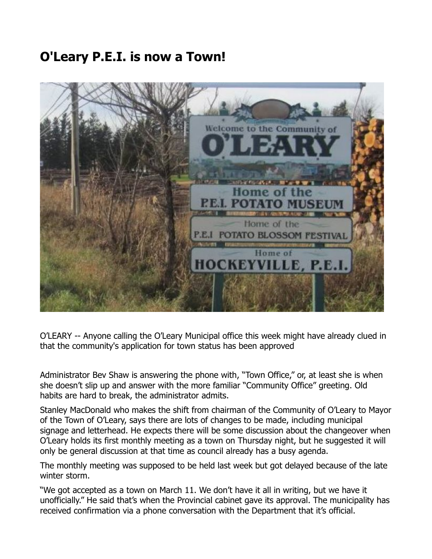## **O'Leary P.E.I. is now a Town!**



O'LEARY -- Anyone calling the O'Leary Municipal office this week might have already clued in that the community's application for town status has been approved

Administrator Bev Shaw is answering the phone with, "Town Office," or, at least she is when she doesn't slip up and answer with the more familiar "Community Office" greeting. Old habits are hard to break, the administrator admits.

Stanley MacDonald who makes the shift from chairman of the Community of O'Leary to Mayor of the Town of O'Leary, says there are lots of changes to be made, including municipal signage and letterhead. He expects there will be some discussion about the changeover when O'Leary holds its first monthly meeting as a town on Thursday night, but he suggested it will only be general discussion at that time as council already has a busy agenda.

The monthly meeting was supposed to be held last week but got delayed because of the late winter storm.

"We got accepted as a town on March 11. We don't have it all in writing, but we have it unofficially." He said that's when the Provincial cabinet gave its approval. The municipality has received confirmation via a phone conversation with the Department that it's official.